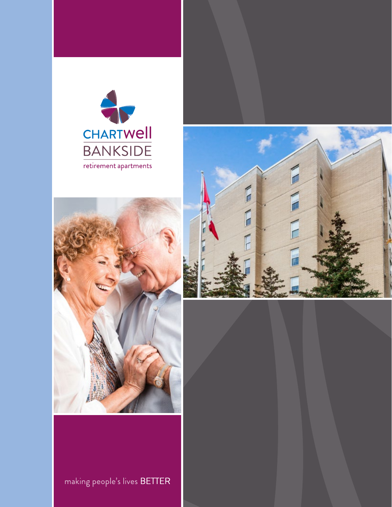





making people's lives BETTER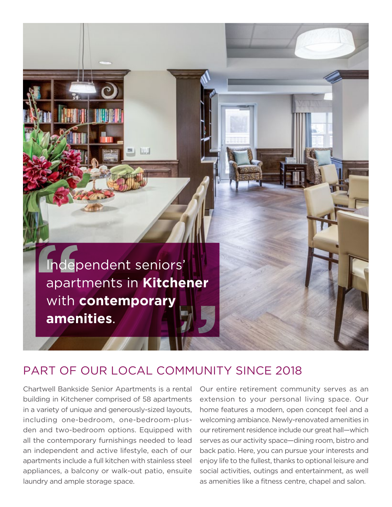

## PART OF OUR LOCAL COMMUNITY SINCE 2018

 appliances, a balcony or walk-out patio, ensuite laundry and ample storage space. Chartwell Bankside Senior Apartments is a rental building in Kitchener comprised of 58 apartments in a variety of unique and generously-sized layouts, including one-bedroom, one-bedroom-plusden and two-bedroom options. Equipped with all the contemporary furnishings needed to lead an independent and active lifestyle, each of our apartments include a full kitchen with stainless steel

Our entire retirement community serves as an extension to your personal living space. Our home features a modern, open concept feel and a welcoming ambiance. Newly-renovated amenities in our retirement residence include our great hall—which serves as our activity space—dining room, bistro and back patio. Here, you can pursue your interests and enjoy life to the fullest, thanks to optional leisure and social activities, outings and entertainment, as well as amenities like a fitness centre, chapel and salon.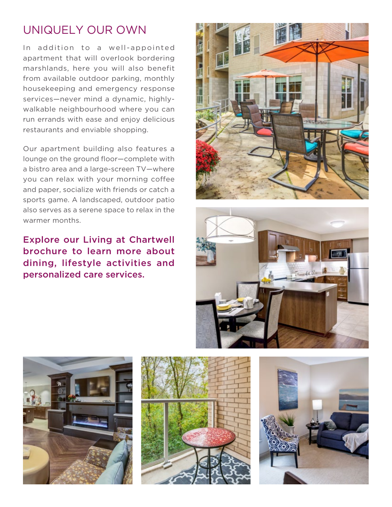# UNIQUELY OUR OWN

In addition to a well-appointed apartment that will overlook bordering marshlands, here you will also benefit from available outdoor parking, monthly housekeeping and emergency response services—never mind a dynamic, highlywalkable neighbourhood where you can run errands with ease and enjoy delicious restaurants and enviable shopping.

Our apartment building also features a lounge on the ground floor—complete with a bistro area and a large-screen TV—where you can relax with your morning coffee and paper, socialize with friends or catch a sports game. A landscaped, outdoor patio also serves as a serene space to relax in the warmer months.

Explore our Living at Chartwell brochure to learn more about dining, lifestyle activities and personalized care services.









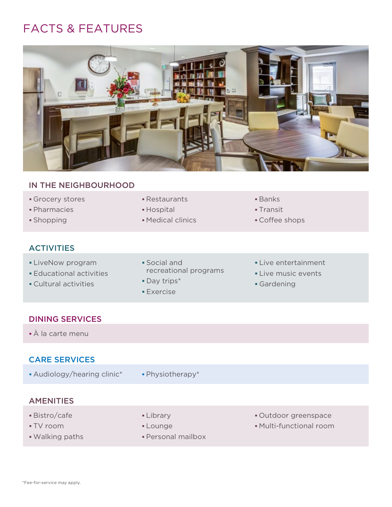# FACTS & FEATURES



### IN THE NEIGHBOURHOOD

- Grocery stores **Execution Executation Contracts Banks**
- **Pharmacies Community Community Community** Hospital Community Community Pharmacies
- 
- **ACTIVITIES**
- 
- 
- Cultural activities **Cultural activities Gardening Gardening**
- 
- 
- **Shopping Medical clinics Medical clinics Coffee shops**
- 
- -

- -
	- Exercise
- ■LiveNow program Social and Social and Live entertainment
- Educational activities **Educational activities Live music events** 
	-

#### DINING SERVICES

À la carte menu

### CARE SERVICES

- Audiology/hearing clinic\* Physiotherapy\*
	-

### AMENITIES

- 
- 
- 
- 
- 
- Walking paths  **Personal mailbox**
- Bistro/cafe **Library** Library **Contract Library Cutdoor greenspace**
- TV room **Lounge Lounge Multi-functional room**